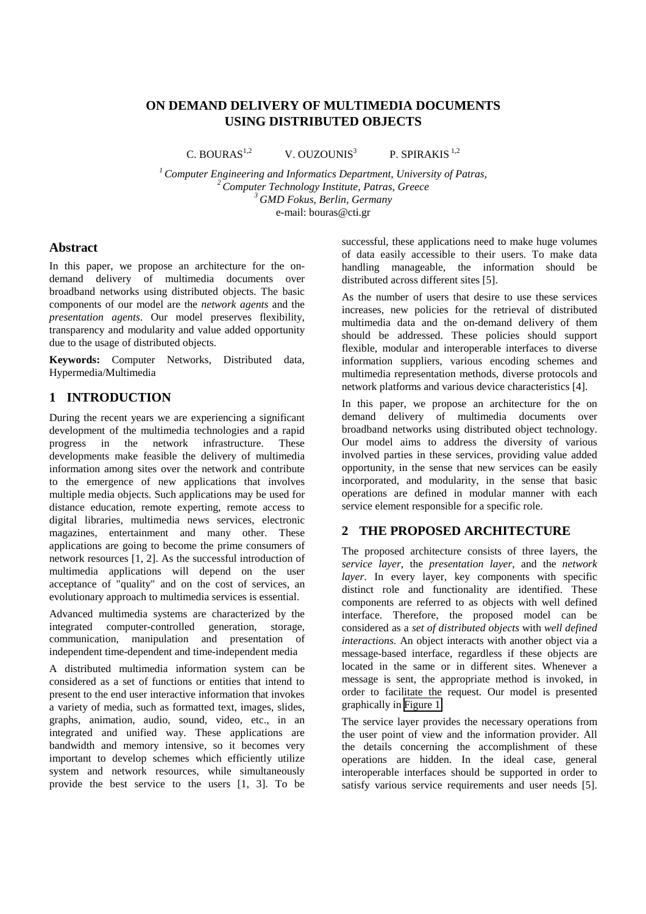# **ON DEMAND DELIVERY OF MULTIMEDIA DOCUMENTS USING DISTRIBUTED OBJECTS**

C. BOURAS<sup>1,2</sup> V. OUZOUNIS<sup>3</sup>

P. SPIRAKIS $1,2$ 

*1 Computer Engineering and Informatics Department, University of Patras, 2 Computer Technology Institute, Patras, Greece 3 GMD Fokus, Berlin, Germany*  e-mail: bouras@cti.gr

## **Abstract**

In this paper, we propose an architecture for the ondemand delivery of multimedia documents over broadband networks using distributed objects. The basic components of our model are the *network agents* and the *presentation agents*. Our model preserves flexibility, transparency and modularity and value added opportunity due to the usage of distributed objects.

**Keywords:** Computer Networks, Distributed data, Hypermedia/Multimedia

## **1 INTRODUCTION**

During the recent years we are experiencing a significant development of the multimedia technologies and a rapid progress in the network infrastructure. These developments make feasible the delivery of multimedia information among sites over the network and contribute to the emergence of new applications that involves multiple media objects. Such applications may be used for distance education, remote experting, remote access to digital libraries, multimedia news services, electronic magazines, entertainment and many other. These applications are going to become the prime consumers of network resources [1, 2]. As the successful introduction of multimedia applications will depend on the user acceptance of "quality" and on the cost of services, an evolutionary approach to multimedia services is essential.

Advanced multimedia systems are characterized by the integrated computer-controlled generation, storage, communication, manipulation and presentation of independent time-dependent and time-independent media

A distributed multimedia information system can be considered as a set of functions or entities that intend to present to the end user interactive information that invokes a variety of media, such as formatted text, images, slides, graphs, animation, audio, sound, video, etc., in an integrated and unified way. These applications are bandwidth and memory intensive, so it becomes very important to develop schemes which efficiently utilize system and network resources, while simultaneously provide the best service to the users [1, 3]. To be

successful, these applications need to make huge volumes of data easily accessible to their users. To make data handling manageable, the information should be distributed across different sites [5].

As the number of users that desire to use these services increases, new policies for the retrieval of distributed multimedia data and the on-demand delivery of them should be addressed. These policies should support flexible, modular and interoperable interfaces to diverse information suppliers, various encoding schemes and multimedia representation methods, diverse protocols and network platforms and various device characteristics [4].

In this paper, we propose an architecture for the on demand delivery of multimedia documents over broadband networks using distributed object technology. Our model aims to address the diversity of various involved parties in these services, providing value added opportunity, in the sense that new services can be easily incorporated, and modularity, in the sense that basic operations are defined in modular manner with each service element responsible for a specific role.

## **2 THE PROPOSED ARCHITECTURE**

The proposed architecture consists of three layers, the *service layer*, the *presentation layer*, and the *network layer*. In every layer, key components with specific distinct role and functionality are identified. These components are referred to as objects with well defined interface. Therefore, the proposed model can be considered as a *set of distributed objects* with *well defined interactions*. An object interacts with another object via a message-based interface, regardless if these objects are located in the same or in different sites. Whenever a message is sent, the appropriate method is invoked, in order to facilitate the request. Our model is presented graphically in [Figure 1.](#page-1-0)

The service layer provides the necessary operations from the user point of view and the information provider. All the details concerning the accomplishment of these operations are hidden. In the ideal case, general interoperable interfaces should be supported in order to satisfy various service requirements and user needs [5].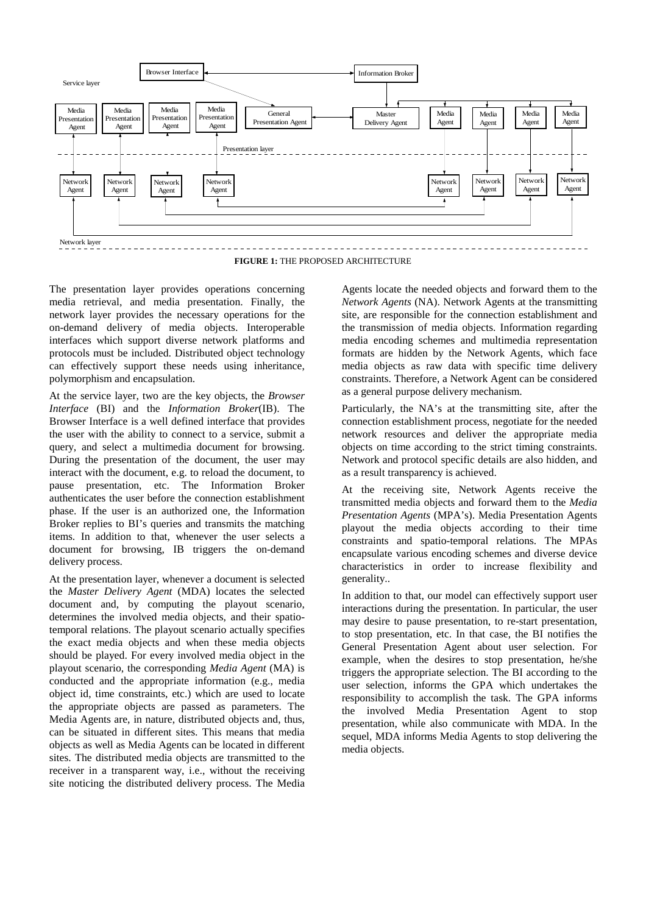<span id="page-1-0"></span>

**FIGURE 1:** THE PROPOSED ARCHITECTURE

The presentation layer provides operations concerning media retrieval, and media presentation. Finally, the network layer provides the necessary operations for the on-demand delivery of media objects. Interoperable interfaces which support diverse network platforms and protocols must be included. Distributed object technology can effectively support these needs using inheritance, polymorphism and encapsulation.

At the service layer, two are the key objects, the *Browser Interface* (BI) and the *Information Broker*(IB). The Browser Interface is a well defined interface that provides the user with the ability to connect to a service, submit a query, and select a multimedia document for browsing. During the presentation of the document, the user may interact with the document, e.g. to reload the document, to pause presentation, etc. The Information Broker authenticates the user before the connection establishment phase. If the user is an authorized one, the Information Broker replies to BI's queries and transmits the matching items. In addition to that, whenever the user selects a document for browsing, IB triggers the on-demand delivery process.

At the presentation layer, whenever a document is selected the *Master Delivery Agent* (MDA) locates the selected document and, by computing the playout scenario, determines the involved media objects, and their spatiotemporal relations. The playout scenario actually specifies the exact media objects and when these media objects should be played. For every involved media object in the playout scenario, the corresponding *Media Agent* (MA) is conducted and the appropriate information (e.g., media object id, time constraints, etc.) which are used to locate the appropriate objects are passed as parameters. The Media Agents are, in nature, distributed objects and, thus, can be situated in different sites. This means that media objects as well as Media Agents can be located in different sites. The distributed media objects are transmitted to the receiver in a transparent way, i.e., without the receiving site noticing the distributed delivery process. The Media

Agents locate the needed objects and forward them to the *Network Agents* (NA). Network Agents at the transmitting site, are responsible for the connection establishment and the transmission of media objects. Information regarding media encoding schemes and multimedia representation formats are hidden by the Network Agents, which face media objects as raw data with specific time delivery constraints. Therefore, a Network Agent can be considered as a general purpose delivery mechanism.

Particularly, the NA's at the transmitting site, after the connection establishment process, negotiate for the needed network resources and deliver the appropriate media objects on time according to the strict timing constraints. Network and protocol specific details are also hidden, and as a result transparency is achieved.

At the receiving site, Network Agents receive the transmitted media objects and forward them to the *Media Presentation Agents* (MPA's). Media Presentation Agents playout the media objects according to their time constraints and spatio-temporal relations. The MPAs encapsulate various encoding schemes and diverse device characteristics in order to increase flexibility and generality..

In addition to that, our model can effectively support user interactions during the presentation. In particular, the user may desire to pause presentation, to re-start presentation, to stop presentation, etc. In that case, the BI notifies the General Presentation Agent about user selection. For example, when the desires to stop presentation, he/she triggers the appropriate selection. The BI according to the user selection, informs the GPA which undertakes the responsibility to accomplish the task. The GPA informs the involved Media Presentation Agent to stop presentation, while also communicate with MDA. In the sequel, MDA informs Media Agents to stop delivering the media objects.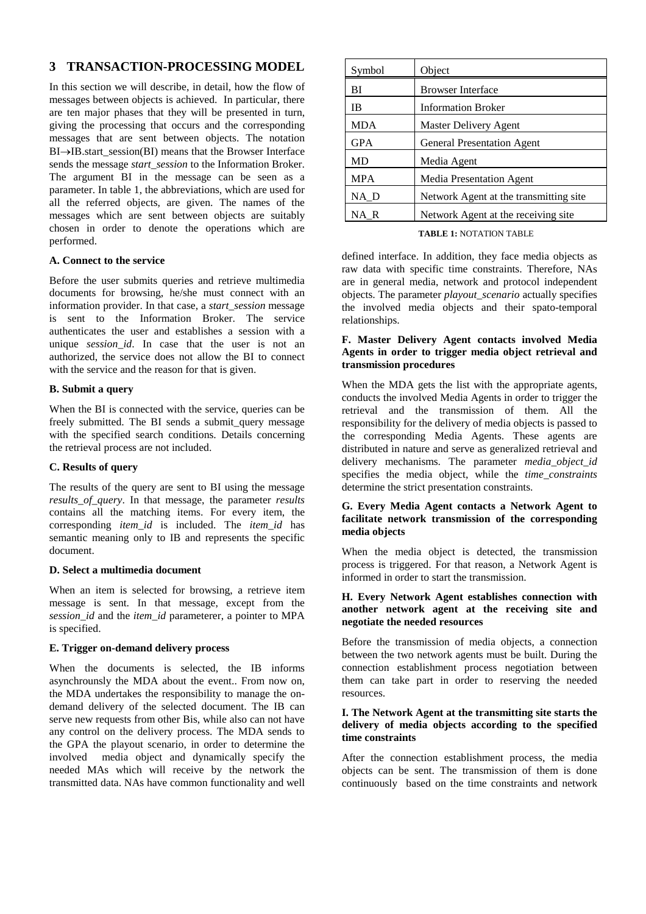# **3 TRANSACTION-PROCESSING MODEL**

In this section we will describe, in detail, how the flow of messages between objects is achieved. In particular, there are ten major phases that they will be presented in turn, giving the processing that occurs and the corresponding messages that are sent between objects. The notation BI→IB.start\_session(BI) means that the Browser Interface sends the message *start\_session* to the Information Broker. The argument BI in the message can be seen as a parameter. In table 1, the abbreviations, which are used for all the referred objects, are given. The names of the messages which are sent between objects are suitably chosen in order to denote the operations which are performed.

#### **A. Connect to the service**

Before the user submits queries and retrieve multimedia documents for browsing, he/she must connect with an information provider. In that case, a *start\_session* message is sent to the Information Broker. The service authenticates the user and establishes a session with a unique *session id*. In case that the user is not an authorized, the service does not allow the BI to connect with the service and the reason for that is given.

### **B. Submit a query**

When the BI is connected with the service, queries can be freely submitted. The BI sends a submit\_query message with the specified search conditions. Details concerning the retrieval process are not included.

#### **C. Results of query**

The results of the query are sent to BI using the message *results\_of\_query*. In that message, the parameter *results*  contains all the matching items. For every item, the corresponding *item\_id* is included. The *item\_id* has semantic meaning only to IB and represents the specific document.

#### **D. Select a multimedia document**

When an item is selected for browsing, a retrieve item message is sent. In that message, except from the *session\_id* and the *item\_id* parameterer, a pointer to MPA is specified.

#### **E. Trigger on-demand delivery process**

When the documents is selected, the IB informs asynchrounsly the MDA about the event.. From now on, the MDA undertakes the responsibility to manage the ondemand delivery of the selected document. The IB can serve new requests from other Bis, while also can not have any control on the delivery process. The MDA sends to the GPA the playout scenario, in order to determine the involved media object and dynamically specify the needed MAs which will receive by the network the transmitted data. NAs have common functionality and well

| Symbol     | Object                                 |
|------------|----------------------------------------|
| ВI         | <b>Browser Interface</b>               |
| IB         | <b>Information Broker</b>              |
| <b>MDA</b> | Master Delivery Agent                  |
| <b>GPA</b> | <b>General Presentation Agent</b>      |
| <b>MD</b>  | Media Agent                            |
| <b>MPA</b> | Media Presentation Agent               |
| NA D       | Network Agent at the transmitting site |
| NA R       | Network Agent at the receiving site    |

#### **TABLE 1:** NOTATION TABLE

defined interface. In addition, they face media objects as raw data with specific time constraints. Therefore, NAs are in general media, network and protocol independent objects. The parameter *playout\_scenario* actually specifies the involved media objects and their spato-temporal relationships.

### **F. Master Delivery Agent contacts involved Media Agents in order to trigger media object retrieval and transmission procedures**

When the MDA gets the list with the appropriate agents, conducts the involved Media Agents in order to trigger the retrieval and the transmission of them. All the responsibility for the delivery of media objects is passed to the corresponding Media Agents. These agents are distributed in nature and serve as generalized retrieval and delivery mechanisms. The parameter *media\_object\_id* specifies the media object, while the *time\_constraints*  determine the strict presentation constraints.

#### **G. Every Media Agent contacts a Network Agent to facilitate network transmission of the corresponding media objects**

When the media object is detected, the transmission process is triggered. For that reason, a Network Agent is informed in order to start the transmission.

#### **H. Every Network Agent establishes connection with another network agent at the receiving site and negotiate the needed resources**

Before the transmission of media objects, a connection between the two network agents must be built. During the connection establishment process negotiation between them can take part in order to reserving the needed resources.

#### **I. The Network Agent at the transmitting site starts the delivery of media objects according to the specified time constraints**

After the connection establishment process, the media objects can be sent. The transmission of them is done continuously based on the time constraints and network